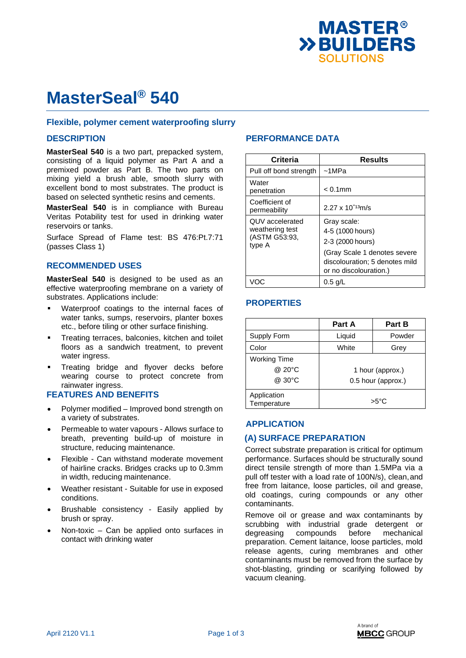

# **MasterSeal® 540**

#### **Flexible, polymer cement waterproofing slurry**

#### **DESCRIPTION**

**MasterSeal 540** is a two part, prepacked system, consisting of a liquid polymer as Part A and a premixed powder as Part B. The two parts on mixing yield a brush able, smooth slurry with excellent bond to most substrates. The product is based on selected synthetic resins and cements.

**MasterSeal 540** is in compliance with Bureau Veritas Potability test for used in drinking water reservoirs or tanks.

Surface Spread of Flame test: BS 476:Pt.7:71 (passes Class 1)

#### **RECOMMENDED USES**

**MasterSeal 540** is designed to be used as an effective waterproofing membrane on a variety of substrates. Applications include:

- Waterproof coatings to the internal faces of water tanks, sumps, reservoirs, planter boxes etc., before tiling or other surface finishing.
- Treating terraces, balconies, kitchen and toilet floors as a sandwich treatment, to prevent water ingress.
- Treating bridge and flyover decks before wearing course to protect concrete from rainwater ingress.

#### **FEATURES AND BENEFITS**

- Polymer modified Improved bond strength on a variety of substrates.
- Permeable to water vapours Allows surface to breath, preventing build-up of moisture in structure, reducing maintenance.
- Flexible Can withstand moderate movement of hairline cracks. Bridges cracks up to 0.3mm in width, reducing maintenance.
- Weather resistant Suitable for use in exposed conditions.
- Brushable consistency Easily applied by brush or spray.
- Non-toxic Can be applied onto surfaces in contact with drinking water

### **PERFORMANCE DATA**

| Criteria                                                      | <b>Results</b>                                                                                                                                  |
|---------------------------------------------------------------|-------------------------------------------------------------------------------------------------------------------------------------------------|
| Pull off bond strength                                        | $~1$ MPa                                                                                                                                        |
| Water<br>penetration                                          | $< 0.1$ mm                                                                                                                                      |
| Coefficient of<br>permeability                                | $2.27 \times 10^{-13}$ m/s                                                                                                                      |
| QUV accelerated<br>weathering test<br>(ASTM G53:93,<br>type A | Gray scale:<br>4-5 (1000 hours)<br>2-3 (2000 hours)<br>(Gray Scale 1 denotes severe<br>discolouration; 5 denotes mild<br>or no discolouration.) |
|                                                               | $0.5$ g/L                                                                                                                                       |

### **PROPERTIES**

|                            | Part A             | Part B |
|----------------------------|--------------------|--------|
| Supply Form                | Liquid             | Powder |
| Color                      | White              | Grey   |
| <b>Working Time</b>        |                    |        |
| @ 20°C                     | 1 hour (approx.)   |        |
| @ 30°C                     | 0.5 hour (approx.) |        |
| Application<br>Temperature | $>5^{\circ}$ C     |        |

#### **APPLICATION**

#### **(A) SURFACE PREPARATION**

Correct substrate preparation is critical for optimum performance. Surfaces should be structurally sound direct tensile strength of more than 1.5MPa via a pull off tester with a load rate of 100N/s), clean, and free from laitance, loose particles, oil and grease, old coatings, curing compounds or any other contaminants.

Remove oil or grease and wax contaminants by scrubbing with industrial grade detergent or degreasing compounds before mechanical preparation. Cement laitance, loose particles, mold release agents, curing membranes and other contaminants must be removed from the surface by shot-blasting, grinding or scarifying followed by vacuum cleaning.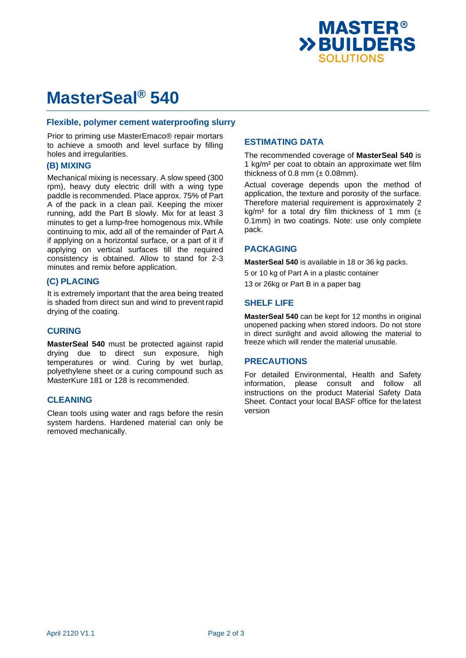

# **MasterSeal® 540**

#### **Flexible, polymer cement waterproofing slurry**

Prior to priming use MasterEmaco® repair mortars to achieve a smooth and level surface by filling holes and irregularities.

#### **(B) MIXING**

Mechanical mixing is necessary. A slow speed (300 rpm), heavy duty electric drill with a wing type paddle is recommended. Place approx. 75% of Part A of the pack in a clean pail. Keeping the mixer running, add the Part B slowly. Mix for at least 3 minutes to get a lump-free homogenous mix. While continuing to mix, add all of the remainder of Part A if applying on a horizontal surface, or a part of it if applying on vertical surfaces till the required consistency is obtained. Allow to stand for 2-3 minutes and remix before application.

#### **(C) PLACING**

It is extremely important that the area being treated is shaded from direct sun and wind to prevent rapid drying of the coating.

#### **CURING**

**MasterSeal 540** must be protected against rapid drying due to direct sun exposure, high temperatures or wind. Curing by wet burlap, polyethylene sheet or a curing compound such as MasterKure 181 or 128 is recommended.

#### **CLEANING**

Clean tools using water and rags before the resin system hardens. Hardened material can only be removed mechanically.

### **ESTIMATING DATA**

The recommended coverage of **MasterSeal 540** is 1 kg/m² per coat to obtain an approximate wet film thickness of 0.8 mm  $(\pm 0.08$ mm).

Actual coverage depends upon the method of application, the texture and porosity of the surface. Therefore material requirement is approximately 2 kg/m<sup>2</sup> for a total dry film thickness of 1 mm  $($ 0.1mm) in two coatings. Note: use only complete pack.

#### **PACKAGING**

**MasterSeal 540** is available in 18 or 36 kg packs.

5 or 10 kg of Part A in a plastic container 13 or 26kg or Part B in a paper bag

#### **SHELF LIFE**

**MasterSeal 540** can be kept for 12 months in original unopened packing when stored indoors. Do not store in direct sunlight and avoid allowing the material to freeze which will render the material unusable.

#### **PRECAUTIONS**

For detailed Environmental, Health and Safety information, please consult and follow all instructions on the product Material Safety Data Sheet. Contact your local BASF office for the latest version